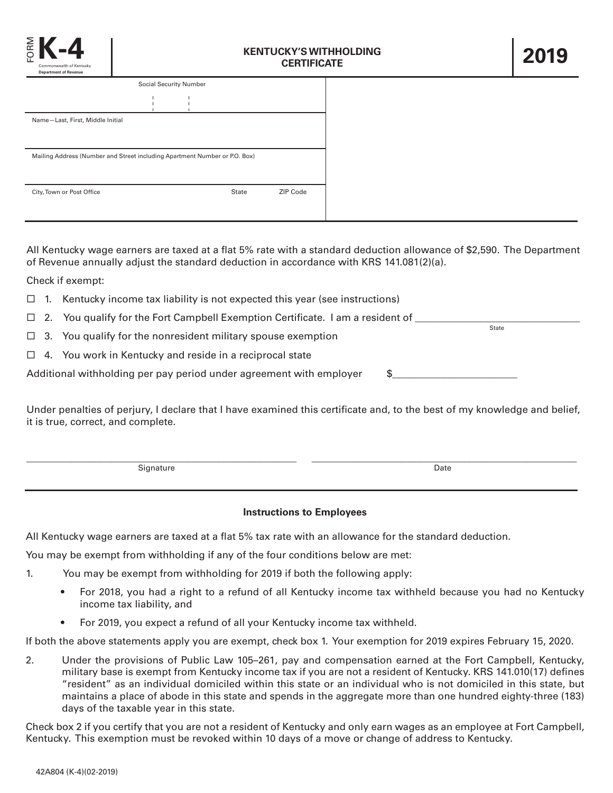

| <b>Social Security Number</b>                                              |  |  |              |                 |  |
|----------------------------------------------------------------------------|--|--|--------------|-----------------|--|
|                                                                            |  |  |              |                 |  |
| Name-Last, First, Middle Initial                                           |  |  |              |                 |  |
|                                                                            |  |  |              |                 |  |
| Mailing Address (Number and Street including Apartment Number or P.O. Box) |  |  |              |                 |  |
|                                                                            |  |  |              |                 |  |
| City, Town or Post Office                                                  |  |  | <b>State</b> | <b>ZIP Code</b> |  |
|                                                                            |  |  |              |                 |  |

All Kentucky wage earners are taxed at a flat 5% rate with a standard deduction allowance of \$2,590. The Department of Revenue annually adjust the standard deduction in accordance with KRS 141.081(2)(a).

Check if exempt:

- $\Box$  1. Kentucky income tax liability is not expected this year (see instructions)
- ¨ 2. You qualify for the Fort Campbell Exemption Certificate. I am a resident of \_\_\_\_\_\_\_\_\_\_\_\_\_\_\_\_\_\_\_\_\_\_\_\_\_\_\_\_\_\_\_\_\_ State
- $\Box$  3. You qualify for the nonresident military spouse exemption
- $\Box$  4. You work in Kentucky and reside in a reciprocal state

Additional withholding per pay period under agreement with employer  $\$$ 

Under penalties of perjury, I declare that I have examined this certificate and, to the best of my knowledge and belief, it is true, correct, and complete.

|                     | ___  |
|---------------------|------|
| $\sim$<br>Signature | Date |
|                     |      |

## **Instructions to Employees**

All Kentucky wage earners are taxed at a flat 5% tax rate with an allowance for the standard deduction.

You may be exempt from withholding if any of the four conditions below are met:

- 1. You may be exempt from withholding for 2019 if both the following apply:
	- For 2018, you had a right to a refund of all Kentucky income tax withheld because you had no Kentucky income tax liability, and
	- For 2019, you expect a refund of all your Kentucky income tax withheld.

If both the above statements apply you are exempt, check box 1. Your exemption for 2019 expires February 15, 2020.

2. Under the provisions of Public Law 105–261, pay and compensation earned at the Fort Campbell, Kentucky, military base is exempt from Kentucky income tax if you are not a resident of Kentucky. KRS 141.010(17) defines "resident" as an individual domiciled within this state or an individual who is not domiciled in this state, but maintains a place of abode in this state and spends in the aggregate more than one hundred eighty-three (183) days of the taxable year in this state.

Check box 2 if you certify that you are not a resident of Kentucky and only earn wages as an employee at Fort Campbell, Kentucky. This exemption must be revoked within 10 days of a move or change of address to Kentucky.